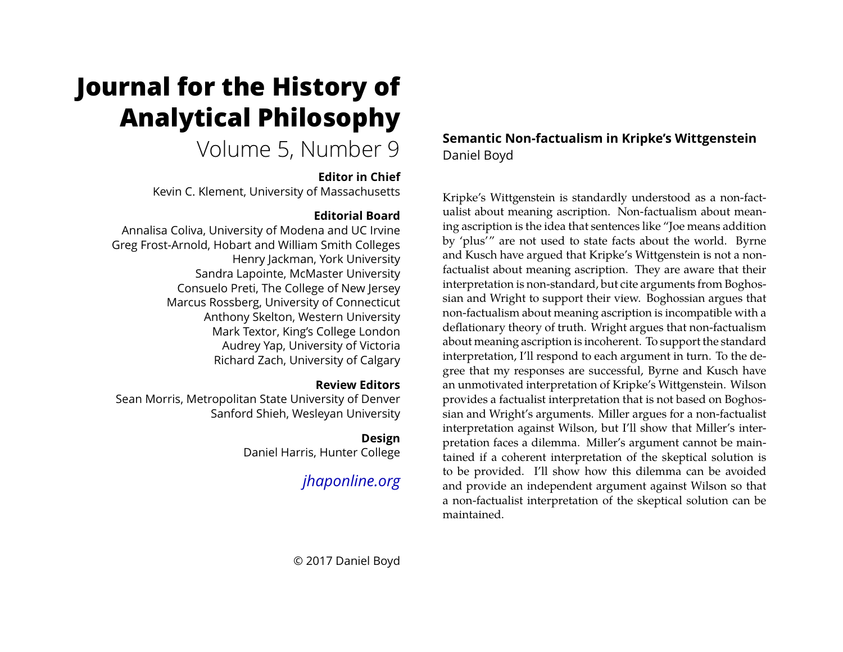# **Journal for the History of Analytical Philosophy**

# Volume 5, Number 9

#### **Editor in Chief**

Kevin C. Klement, University of Massachusetts

## **Editorial Board**

Annalisa Coliva, University of Modena and UC Irvine Greg Frost-Arnold, Hobart and William Smith Colleges Henry Jackman, York University Sandra Lapointe, McMaster University Consuelo Preti, The College of New Jersey Marcus Rossberg, University of Connecticut Anthony Skelton, Western University Mark Textor, King's College London Audrey Yap, University of Victoria Richard Zach, University of Calgary

#### **Review Editors**

Sean Morris, Metropolitan State University of Denver Sanford Shieh, Wesleyan University

# **Design**

Daniel Harris, Hunter College

*[jhaponline.org](https://jhaponline.org)*

# **Semantic Non-factualism in Kripke's Wittgenstein** Daniel Boyd

Kripke's Wittgenstein is standardly understood as a non-factualist about meaning ascription. Non-factualism about meaning ascription is the idea that sentences like "Joe means addition by 'plus'" are not used to state facts about the world. Byrne and Kusch have argued that Kripke's Wittgenstein is not a nonfactualist about meaning ascription. They are aware that their interpretation is non-standard, but cite arguments from Boghossian and Wright to support their view. Boghossian argues that non-factualism about meaning ascription is incompatible with a deflationary theory of truth. Wright argues that non-factualism about meaning ascription is incoherent. To support the standard interpretation, I'll respond to each argument in turn. To the degree that my responses are successful, Byrne and Kusch have an unmotivated interpretation of Kripke's Wittgenstein. Wilson provides a factualist interpretation that is not based on Boghossian and Wright's arguments. Miller argues for a non-factualist interpretation against Wilson, but I'll show that Miller's interpretation faces a dilemma. Miller's argument cannot be maintained if a coherent interpretation of the skeptical solution is to be provided. I'll show how this dilemma can be avoided and provide an independent argument against Wilson so that a non-factualist interpretation of the skeptical solution can be maintained.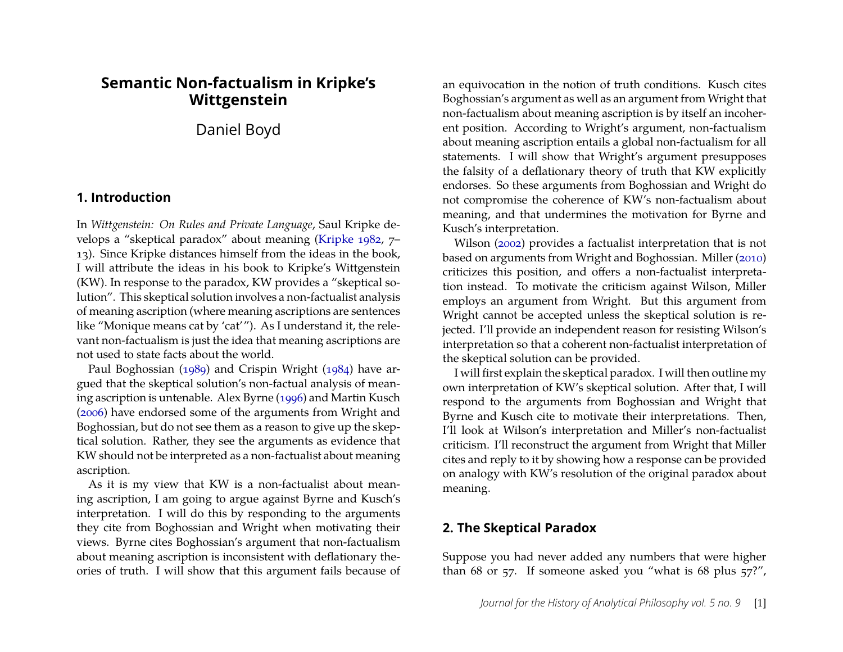## **Semantic Non-factualism in Kripke's Wittgenstein**

Daniel Boyd

#### **1. Introduction**

In *Wittgenstein: On Rules and Private Language*, Saul Kripke develops a "skeptical paradox" about meaning [\(Kripke](#page-13-0) [1982,](#page-13-0) 7– 13). Since Kripke distances himself from the ideas in the book, I will attribute the ideas in his book to Kripke's Wittgenstein (KW). In response to the paradox, KW provides a "skeptical solution". This skeptical solution involves a non-factualist analysis of meaning ascription (where meaning ascriptions are sentences like "Monique means cat by 'cat'"). As I understand it, the relevant non-factualism is just the idea that meaning ascriptions are not used to state facts about the world.

Paul Boghossian [\(1989\)](#page-13-1) and Crispin Wright [\(1984\)](#page-13-2) have argued that the skeptical solution's non-factual analysis of meaning ascription is untenable. Alex Byrne [\(1996\)](#page-13-3) and Martin Kusch [\(2006\)](#page-13-4) have endorsed some of the arguments from Wright and Boghossian, but do not see them as a reason to give up the skeptical solution. Rather, they see the arguments as evidence that KW should not be interpreted as a non-factualist about meaning ascription.

As it is my view that KW is a non-factualist about meaning ascription, I am going to argue against Byrne and Kusch's interpretation. I will do this by responding to the arguments they cite from Boghossian and Wright when motivating their views. Byrne cites Boghossian's argument that non-factualism about meaning ascription is inconsistent with deflationary theories of truth. I will show that this argument fails because of an equivocation in the notion of truth conditions. Kusch cites Boghossian's argument as well as an argument from Wright that non-factualism about meaning ascription is by itself an incoherent position. According to Wright's argument, non-factualism about meaning ascription entails a global non-factualism for all statements. I will show that Wright's argument presupposes the falsity of a deflationary theory of truth that KW explicitly endorses. So these arguments from Boghossian and Wright do not compromise the coherence of KW's non-factualism about meaning, and that undermines the motivation for Byrne and Kusch's interpretation.

Wilson [\(2002\)](#page-13-5) provides a factualist interpretation that is not based on arguments from Wright and Boghossian. Miller [\(2010\)](#page-13-6) criticizes this position, and offers a non-factualist interpretation instead. To motivate the criticism against Wilson, Miller employs an argument from Wright. But this argument from Wright cannot be accepted unless the skeptical solution is rejected. I'll provide an independent reason for resisting Wilson's interpretation so that a coherent non-factualist interpretation of the skeptical solution can be provided.

I will first explain the skeptical paradox. I will then outline my own interpretation of KW's skeptical solution. After that, I will respond to the arguments from Boghossian and Wright that Byrne and Kusch cite to motivate their interpretations. Then, I'll look at Wilson's interpretation and Miller's non-factualist criticism. I'll reconstruct the argument from Wright that Miller cites and reply to it by showing how a response can be provided on analogy with KW's resolution of the original paradox about meaning.

#### **2. The Skeptical Paradox**

Suppose you had never added any numbers that were higher than 68 or 57. If someone asked you "what is 68 plus 57?",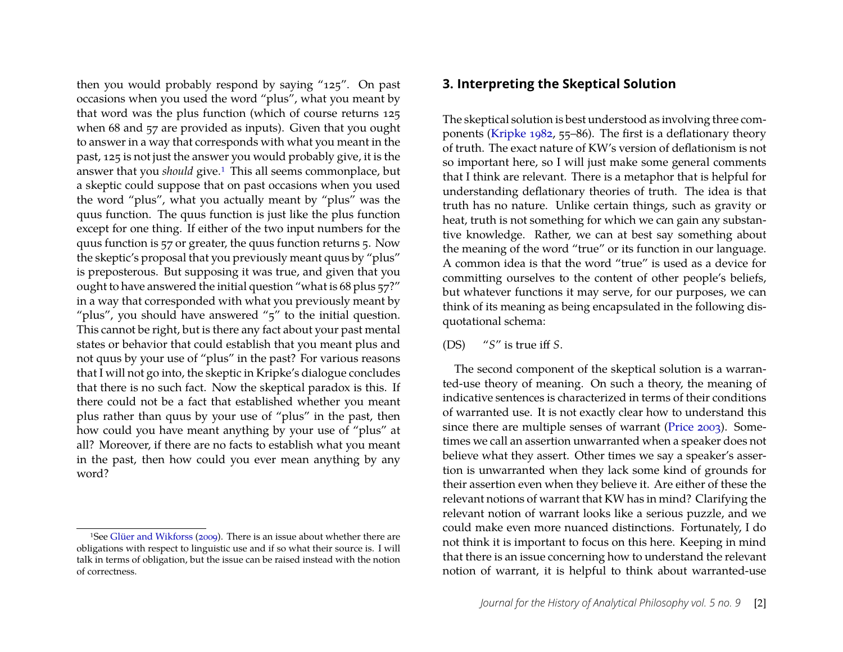then you would probably respond by saying "125". On past occasions when you used the word "plus", what you meant by that word was the plus function (which of course returns 125 when 68 and 57 are provided as inputs). Given that you ought to answer in a way that corresponds with what you meant in the past, 125 is not just the answer you would probably give, it is the answer that you *should* give.<sup>1</sup> This all seems commonplace, but a skeptic could suppose that on past occasions when you used the word "plus", what you actually meant by "plus" was the quus function. The quus function is just like the plus function except for one thing. If either of the two input numbers for the quus function is 57 or greater, the quus function returns 5. Now the skeptic's proposal that you previously meant quus by "plus" is preposterous. But supposing it was true, and given that you ought to have answered the initial question "what is 68 plus 57?" in a way that corresponded with what you previously meant by "plus", you should have answered " $5$ " to the initial question. This cannot be right, but is there any fact about your past mental states or behavior that could establish that you meant plus and not quus by your use of "plus" in the past? For various reasons that I will not go into, the skeptic in Kripke's dialogue concludes that there is no such fact. Now the skeptical paradox is this. If there could not be a fact that established whether you meant plus rather than quus by your use of "plus" in the past, then how could you have meant anything by your use of "plus" at all? Moreover, if there are no facts to establish what you meant in the past, then how could you ever mean anything by any word?

#### **3. Interpreting the Skeptical Solution**

The skeptical solution is best understood as involving three components [\(Kripke](#page-13-0) [1982,](#page-13-0) 55–86). The first is a deflationary theory of truth. The exact nature of KW's version of deflationism is not so important here, so I will just make some general comments that I think are relevant. There is a metaphor that is helpful for understanding deflationary theories of truth. The idea is that truth has no nature. Unlike certain things, such as gravity or heat, truth is not something for which we can gain any substantive knowledge. Rather, we can at best say something about the meaning of the word "true" or its function in our language. A common idea is that the word "true" is used as a device for committing ourselves to the content of other people's beliefs, but whatever functions it may serve, for our purposes, we can think of its meaning as being encapsulated in the following disquotational schema:

#### (DS) "*S*" is true iff *S*.

The second component of the skeptical solution is a warranted-use theory of meaning. On such a theory, the meaning of indicative sentences is characterized in terms of their conditions of warranted use. It is not exactly clear how to understand this since there are multiple senses of warrant [\(Price](#page-13-8) [2003\)](#page-13-8). Sometimes we call an assertion unwarranted when a speaker does not believe what they assert. Other times we say a speaker's assertion is unwarranted when they lack some kind of grounds for their assertion even when they believe it. Are either of these the relevant notions of warrant that KW has in mind? Clarifying the relevant notion of warrant looks like a serious puzzle, and we could make even more nuanced distinctions. Fortunately, I do not think it is important to focus on this here. Keeping in mind that there is an issue concerning how to understand the relevant notion of warrant, it is helpful to think about warranted-use

<span id="page-2-0"></span><sup>1</sup>See [Glüer and Wikforss](#page-13-7) [\(2009\)](#page-13-7). There is an issue about whether there are obligations with respect to linguistic use and if so what their source is. I will talk in terms of obligation, but the issue can be raised instead with the notion of correctness.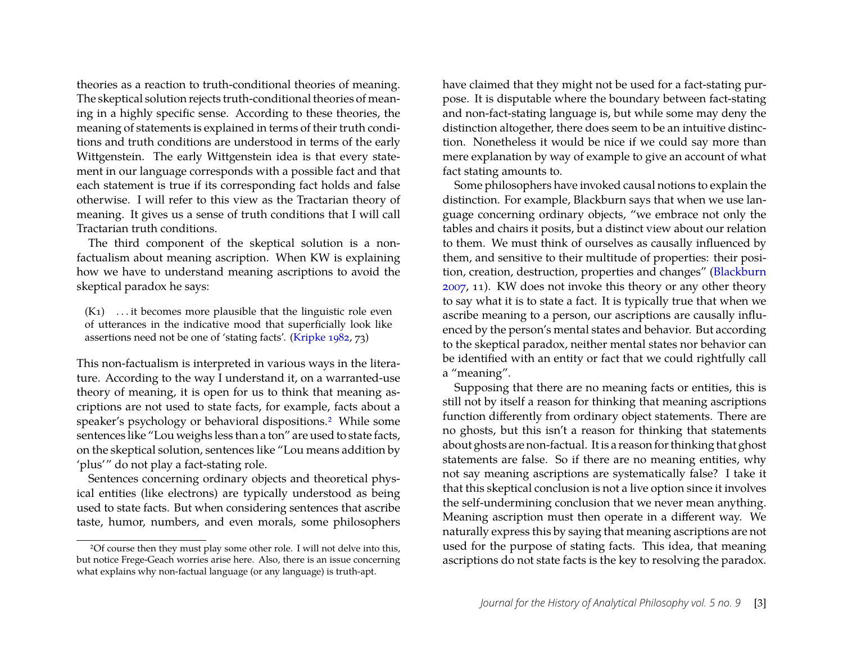theories as a reaction to truth-conditional theories of meaning. The skeptical solution rejects truth-conditional theories of meaning in a highly specific sense. According to these theories, the meaning of statements is explained in terms of their truth conditions and truth conditions are understood in terms of the early Wittgenstein. The early Wittgenstein idea is that every statement in our language corresponds with a possible fact and that each statement is true if its corresponding fact holds and false otherwise. I will refer to this view as the Tractarian theory of meaning. It gives us a sense of truth conditions that I will call Tractarian truth conditions.

The third component of the skeptical solution is a nonfactualism about meaning ascription. When KW is explaining how we have to understand meaning ascriptions to avoid the skeptical paradox he says:

<span id="page-3-1"></span> $(K_1)$  ... it becomes more plausible that the linguistic role even of utterances in the indicative mood that superficially look like assertions need not be one of 'stating facts'. [\(Kripke](#page-13-0) [1982,](#page-13-0) 73)

This non-factualism is interpreted in various ways in the literature. According to the way I understand it, on a warranted-use theory of meaning, it is open for us to think that meaning ascriptions are not used to state facts, for example, facts about a speaker's psychology or behavioral dispositions[.2](#page-3-0) While some sentences like "Lou weighs less than a ton" are used to state facts, on the skeptical solution, sentences like "Lou means addition by 'plus'" do not play a fact-stating role.

Sentences concerning ordinary objects and theoretical physical entities (like electrons) are typically understood as being used to state facts. But when considering sentences that ascribe taste, humor, numbers, and even morals, some philosophers have claimed that they might not be used for a fact-stating purpose. It is disputable where the boundary between fact-stating and non-fact-stating language is, but while some may deny the distinction altogether, there does seem to be an intuitive distinction. Nonetheless it would be nice if we could say more than mere explanation by way of example to give an account of what fact stating amounts to.

Some philosophers have invoked causal notions to explain the distinction. For example, Blackburn says that when we use language concerning ordinary objects, "we embrace not only the tables and chairs it posits, but a distinct view about our relation to them. We must think of ourselves as causally influenced by them, and sensitive to their multitude of properties: their position, creation, destruction, properties and changes" [\(Blackburn](#page-13-9) [2007,](#page-13-9) 11). KW does not invoke this theory or any other theory to say what it is to state a fact. It is typically true that when we ascribe meaning to a person, our ascriptions are causally influenced by the person's mental states and behavior. But according to the skeptical paradox, neither mental states nor behavior can be identified with an entity or fact that we could rightfully call a "meaning".

Supposing that there are no meaning facts or entities, this is still not by itself a reason for thinking that meaning ascriptions function differently from ordinary object statements. There are no ghosts, but this isn't a reason for thinking that statements about ghosts are non-factual. It is a reason for thinking that ghost statements are false. So if there are no meaning entities, why not say meaning ascriptions are systematically false? I take it that this skeptical conclusion is not a live option since it involves the self-undermining conclusion that we never mean anything. Meaning ascription must then operate in a different way. We naturally express this by saying that meaning ascriptions are not used for the purpose of stating facts. This idea, that meaning ascriptions do not state facts is the key to resolving the paradox.

<span id="page-3-0"></span><sup>2</sup>Of course then they must play some other role. I will not delve into this, but notice Frege-Geach worries arise here. Also, there is an issue concerning what explains why non-factual language (or any language) is truth-apt.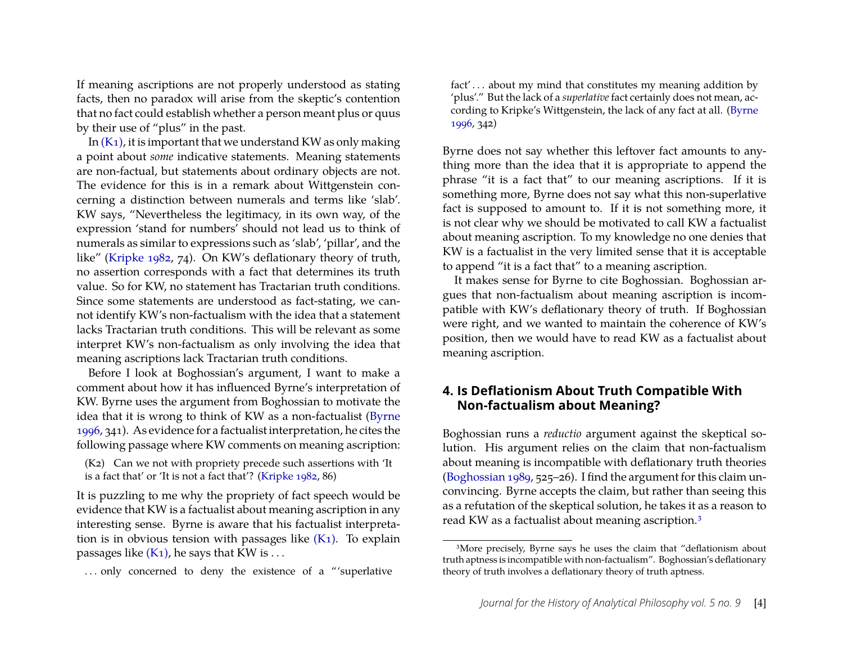If meaning ascriptions are not properly understood as stating facts, then no paradox will arise from the skeptic's contention that no fact could establish whether a person meant plus or quus by their use of "plus" in the past.

In  $(K_1)$ , it is important that we understand KW as only making a point about *some* indicative statements. Meaning statements are non-factual, but statements about ordinary objects are not. The evidence for this is in a remark about Wittgenstein concerning a distinction between numerals and terms like 'slab'. KW says, "Nevertheless the legitimacy, in its own way, of the expression 'stand for numbers' should not lead us to think of numerals as similar to expressions such as 'slab', 'pillar', and the like" [\(Kripke](#page-13-0) [1982,](#page-13-0) 74). On KW's deflationary theory of truth, no assertion corresponds with a fact that determines its truth value. So for KW, no statement has Tractarian truth conditions. Since some statements are understood as fact-stating, we cannot identify KW's non-factualism with the idea that a statement lacks Tractarian truth conditions. This will be relevant as some interpret KW's non-factualism as only involving the idea that meaning ascriptions lack Tractarian truth conditions.

Before I look at Boghossian's argument, I want to make a comment about how it has influenced Byrne's interpretation of KW. Byrne uses the argument from Boghossian to motivate the idea that it is wrong to think of KW as a non-factualist [\(Byrne](#page-13-3) [1996,](#page-13-3) 341). As evidence for a factualist interpretation, he cites the following passage where KW comments on meaning ascription:

(K2) Can we not with propriety precede such assertions with 'It is a fact that' or 'It is not a fact that'? [\(Kripke](#page-13-0) [1982,](#page-13-0) 86)

It is puzzling to me why the propriety of fact speech would be evidence that KW is a factualist about meaning ascription in any interesting sense. Byrne is aware that his factualist interpretation is in obvious tension with passages like  $(K_1)$ . To explain passages like  $(K_1)$ , he says that KW is ...

... only concerned to deny the existence of a "'superlative

fact' . . . about my mind that constitutes my meaning addition by 'plus'." But the lack of a *superlative*fact certainly does not mean, according to Kripke's Wittgenstein, the lack of any fact at all. [\(Byrne](#page-13-3) [1996,](#page-13-3) 342)

Byrne does not say whether this leftover fact amounts to anything more than the idea that it is appropriate to append the phrase "it is a fact that" to our meaning ascriptions. If it is something more, Byrne does not say what this non-superlative fact is supposed to amount to. If it is not something more, it is not clear why we should be motivated to call KW a factualist about meaning ascription. To my knowledge no one denies that KW is a factualist in the very limited sense that it is acceptable to append "it is a fact that" to a meaning ascription.

It makes sense for Byrne to cite Boghossian. Boghossian argues that non-factualism about meaning ascription is incompatible with KW's deflationary theory of truth. If Boghossian were right, and we wanted to maintain the coherence of KW's position, then we would have to read KW as a factualist about meaning ascription.

#### **4. Is Deflationism About Truth Compatible With Non-factualism about Meaning?**

Boghossian runs a *reductio* argument against the skeptical solution. His argument relies on the claim that non-factualism about meaning is incompatible with deflationary truth theories [\(Boghossian](#page-13-1) [1989,](#page-13-1) 525–26). I find the argument for this claim unconvincing. Byrne accepts the claim, but rather than seeing this as a refutation of the skeptical solution, he takes it as a reason to read KW as a factualist about meaning ascription[.3](#page-4-0)

<span id="page-4-0"></span><sup>3</sup>More precisely, Byrne says he uses the claim that "deflationism about truth aptness is incompatible with non-factualism". Boghossian's deflationary theory of truth involves a deflationary theory of truth aptness.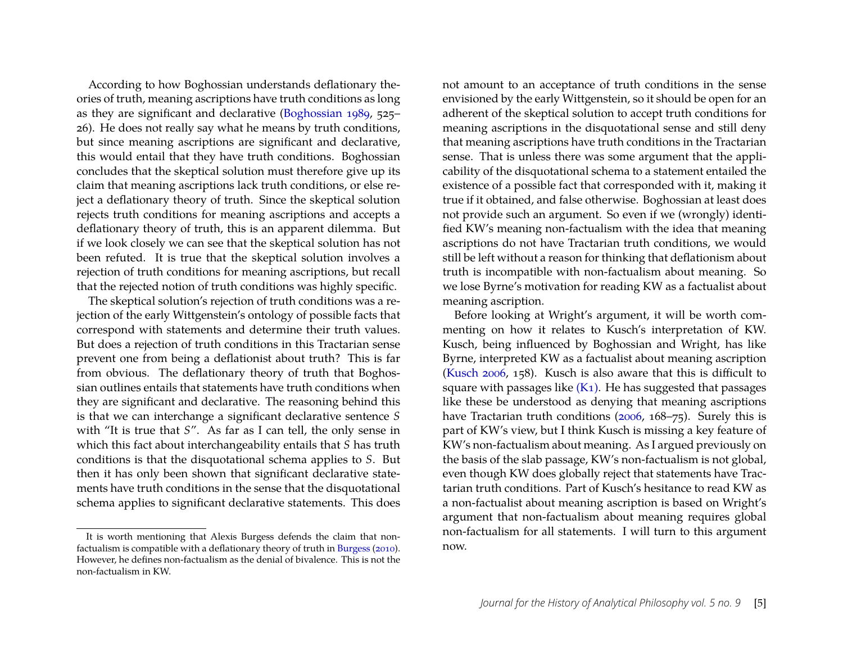According to how Boghossian understands deflationary theories of truth, meaning ascriptions have truth conditions as long as they are significant and declarative [\(Boghossian](#page-13-1) [1989,](#page-13-1) 525– 26). He does not really say what he means by truth conditions, but since meaning ascriptions are significant and declarative, this would entail that they have truth conditions. Boghossian concludes that the skeptical solution must therefore give up its claim that meaning ascriptions lack truth conditions, or else reject a deflationary theory of truth. Since the skeptical solution rejects truth conditions for meaning ascriptions and accepts a deflationary theory of truth, this is an apparent dilemma. But if we look closely we can see that the skeptical solution has not been refuted. It is true that the skeptical solution involves a rejection of truth conditions for meaning ascriptions, but recall that the rejected notion of truth conditions was highly specific.

The skeptical solution's rejection of truth conditions was a rejection of the early Wittgenstein's ontology of possible facts that correspond with statements and determine their truth values. But does a rejection of truth conditions in this Tractarian sense prevent one from being a deflationist about truth? This is far from obvious. The deflationary theory of truth that Boghossian outlines entails that statements have truth conditions when they are significant and declarative. The reasoning behind this is that we can interchange a significant declarative sentence *S* with "It is true that *S*". As far as I can tell, the only sense in which this fact about interchangeability entails that *S* has truth conditions is that the disquotational schema applies to *S*. But then it has only been shown that significant declarative statements have truth conditions in the sense that the disquotational schema applies to significant declarative statements. This does not amount to an acceptance of truth conditions in the sense envisioned by the early Wittgenstein, so it should be open for an adherent of the skeptical solution to accept truth conditions for meaning ascriptions in the disquotational sense and still deny that meaning ascriptions have truth conditions in the Tractarian sense. That is unless there was some argument that the applicability of the disquotational schema to a statement entailed the existence of a possible fact that corresponded with it, making it true if it obtained, and false otherwise. Boghossian at least does not provide such an argument. So even if we (wrongly) identified KW's meaning non-factualism with the idea that meaning ascriptions do not have Tractarian truth conditions, we would still be left without a reason for thinking that deflationism about truth is incompatible with non-factualism about meaning. So we lose Byrne's motivation for reading KW as a factualist about meaning ascription.

Before looking at Wright's argument, it will be worth commenting on how it relates to Kusch's interpretation of KW. Kusch, being influenced by Boghossian and Wright, has like Byrne, interpreted KW as a factualist about meaning ascription [\(Kusch](#page-13-4) [2006,](#page-13-4) 158). Kusch is also aware that this is difficult to square with passages like  $(K_1)$ . He has suggested that passages like these be understood as denying that meaning ascriptions have Tractarian truth conditions [\(2006,](#page-13-4) 168–75). Surely this is part of KW's view, but I think Kusch is missing a key feature of KW's non-factualism about meaning. As I argued previously on the basis of the slab passage, KW's non-factualism is not global, even though KW does globally reject that statements have Tractarian truth conditions. Part of Kusch's hesitance to read KW as a non-factualist about meaning ascription is based on Wright's argument that non-factualism about meaning requires global non-factualism for all statements. I will turn to this argument now.

It is worth mentioning that Alexis Burgess defends the claim that nonfactualism is compatible with a deflationary theory of truth in [Burgess](#page-13-10) [\(2010\)](#page-13-10). However, he defines non-factualism as the denial of bivalence. This is not the non-factualism in KW.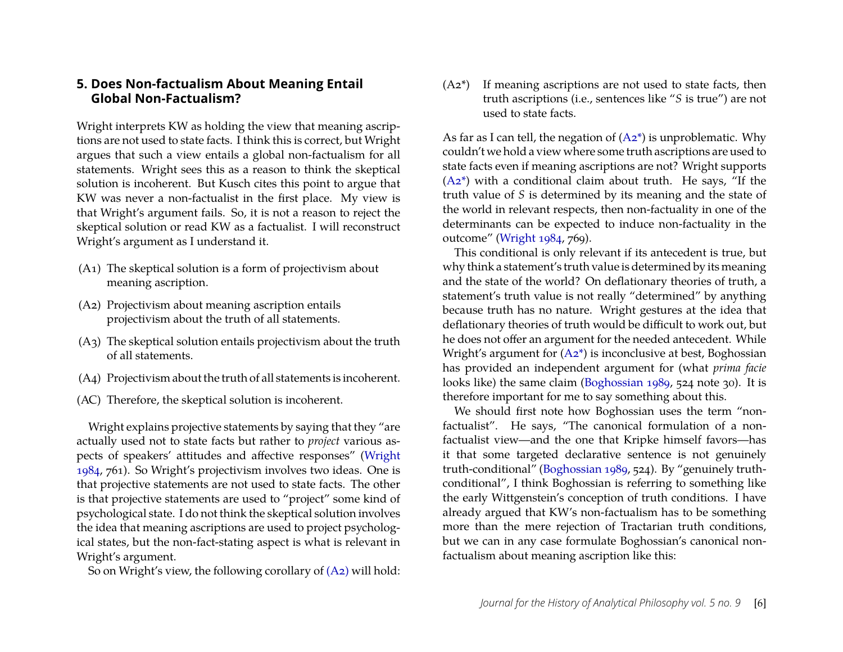#### **5. Does Non-factualism About Meaning Entail Global Non-Factualism?**

Wright interprets KW as holding the view that meaning ascriptions are not used to state facts. I think this is correct, but Wright argues that such a view entails a global non-factualism for all statements. Wright sees this as a reason to think the skeptical solution is incoherent. But Kusch cites this point to argue that KW was never a non-factualist in the first place. My view is that Wright's argument fails. So, it is not a reason to reject the skeptical solution or read KW as a factualist. I will reconstruct Wright's argument as I understand it.

- (A1) The skeptical solution is a form of projectivism about meaning ascription.
- <span id="page-6-0"></span>(A2) Projectivism about meaning ascription entails projectivism about the truth of all statements.
- (A3) The skeptical solution entails projectivism about the truth of all statements.
- (A4) Projectivism about the truth of all statements is incoherent.
- (AC) Therefore, the skeptical solution is incoherent.

Wright explains projective statements by saying that they "are actually used not to state facts but rather to *project* various aspects of speakers' attitudes and affective responses" [\(Wright](#page-13-2) [1984,](#page-13-2) 761). So Wright's projectivism involves two ideas. One is that projective statements are not used to state facts. The other is that projective statements are used to "project" some kind of psychological state. I do not think the skeptical solution involves the idea that meaning ascriptions are used to project psychological states, but the non-fact-stating aspect is what is relevant in Wright's argument.

So on Wright's view, the following corollary of [\(A2\)](#page-6-0) will hold:

<span id="page-6-1"></span>(A2\*) If meaning ascriptions are not used to state facts, then truth ascriptions (i.e., sentences like "*S* is true") are not used to state facts.

As far as I can tell, the negation of  $(A2^*)$  is unproblematic. Why couldn't we hold a view where some truth ascriptions are used to state facts even if meaning ascriptions are not? Wright supports  $(A2^*)$  with a conditional claim about truth. He says, "If the truth value of *S* is determined by its meaning and the state of the world in relevant respects, then non-factuality in one of the determinants can be expected to induce non-factuality in the outcome" [\(Wright](#page-13-2) [1984,](#page-13-2) 769).

This conditional is only relevant if its antecedent is true, but why think a statement's truth value is determined by its meaning and the state of the world? On deflationary theories of truth, a statement's truth value is not really "determined" by anything because truth has no nature. Wright gestures at the idea that deflationary theories of truth would be difficult to work out, but he does not offer an argument for the needed antecedent. While Wright's argument for  $(A2^*)$  is inconclusive at best, Boghossian has provided an independent argument for (what *prima facie* looks like) the same claim [\(Boghossian](#page-13-1) [1989,](#page-13-1) 524 note 30). It is therefore important for me to say something about this.

We should first note how Boghossian uses the term "nonfactualist". He says, "The canonical formulation of a nonfactualist view—and the one that Kripke himself favors—has it that some targeted declarative sentence is not genuinely truth-conditional" [\(Boghossian](#page-13-1) [1989,](#page-13-1) 524). By "genuinely truthconditional", I think Boghossian is referring to something like the early Wittgenstein's conception of truth conditions. I have already argued that KW's non-factualism has to be something more than the mere rejection of Tractarian truth conditions, but we can in any case formulate Boghossian's canonical nonfactualism about meaning ascription like this: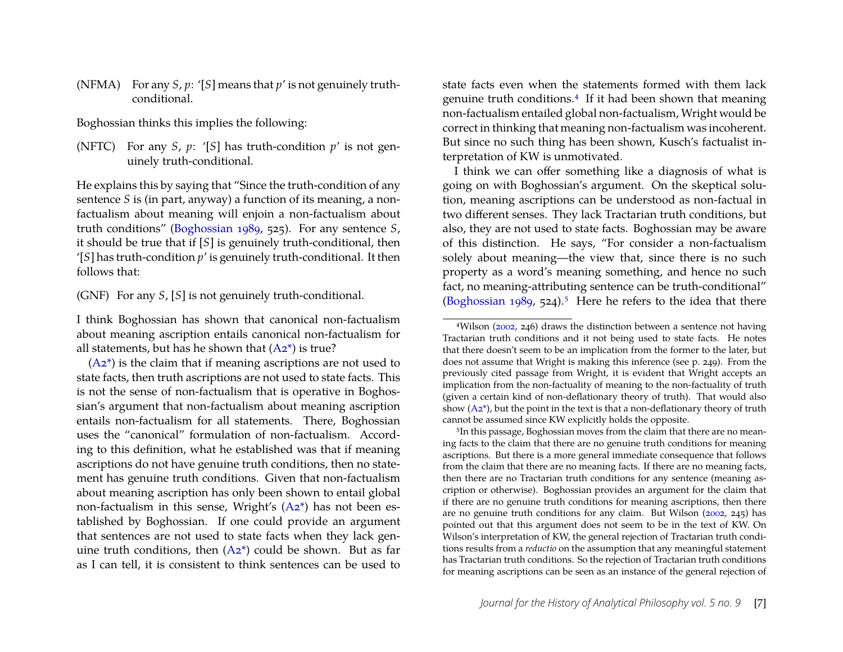(NFMA) For any *S*, *p*: '[*S*] means that *p*' is not genuinely truthconditional.

Boghossian thinks this implies the following:

(NFTC) For any *S*,  $p$ : '[*S*] has truth-condition  $p'$  is not genuinely truth-conditional.

He explains this by saying that "Since the truth-condition of any sentence *S* is (in part, anyway) a function of its meaning, a nonfactualism about meaning will enjoin a non-factualism about truth conditions" [\(Boghossian](#page-13-1) [1989,](#page-13-1) 525). For any sentence *S*, it should be true that if [*S*] is genuinely truth-conditional, then '[*S*] has truth-condition *p*' is genuinely truth-conditional. It then follows that:

(GNF) For any *S*, [*S*] is not genuinely truth-conditional.

I think Boghossian has shown that canonical non-factualism about meaning ascription entails canonical non-factualism for all statements, but has he shown that  $(A2^*)$  is true?

 $(A2^*)$  is the claim that if meaning ascriptions are not used to state facts, then truth ascriptions are not used to state facts. This is not the sense of non-factualism that is operative in Boghossian's argument that non-factualism about meaning ascription entails non-factualism for all statements. There, Boghossian uses the "canonical" formulation of non-factualism. According to this definition, what he established was that if meaning ascriptions do not have genuine truth conditions, then no statement has genuine truth conditions. Given that non-factualism about meaning ascription has only been shown to entail global non-factualism in this sense, Wright's [\(A2\\*\)](#page-6-1) has not been established by Boghossian. If one could provide an argument that sentences are not used to state facts when they lack genuine truth conditions, then  $(A2^*)$  could be shown. But as far as I can tell, it is consistent to think sentences can be used to

state facts even when the statements formed with them lack genuine truth conditions[.4](#page-7-0) If it had been shown that meaning non-factualism entailed global non-factualism, Wright would be correct in thinking that meaning non-factualism was incoherent. But since no such thing has been shown, Kusch's factualist interpretation of KW is unmotivated.

I think we can offer something like a diagnosis of what is going on with Boghossian's argument. On the skeptical solution, meaning ascriptions can be understood as non-factual in two different senses. They lack Tractarian truth conditions, but also, they are not used to state facts. Boghossian may be aware of this distinction. He says, "For consider a non-factualism solely about meaning—the view that, since there is no such property as a word's meaning something, and hence no such fact, no meaning-attributing sentence can be truth-conditional" [\(Boghossian](#page-13-1) [1989,](#page-13-1) 524).<sup>5</sup> Here he refers to the idea that there

<span id="page-7-1"></span><sup>5</sup>In this passage, Boghossian moves from the claim that there are no meaning facts to the claim that there are no genuine truth conditions for meaning ascriptions. But there is a more general immediate consequence that follows from the claim that there are no meaning facts. If there are no meaning facts, then there are no Tractarian truth conditions for any sentence (meaning ascription or otherwise). Boghossian provides an argument for the claim that if there are no genuine truth conditions for meaning ascriptions, then there are no genuine truth conditions for any claim. But Wilson [\(2002,](#page-13-5) 245) has pointed out that this argument does not seem to be in the text of KW. On Wilson's interpretation of KW, the general rejection of Tractarian truth conditions results from a *reductio* on the assumption that any meaningful statement has Tractarian truth conditions. So the rejection of Tractarian truth conditions for meaning ascriptions can be seen as an instance of the general rejection of

<span id="page-7-0"></span><sup>4</sup>Wilson [\(2002,](#page-13-5) 246) draws the distinction between a sentence not having Tractarian truth conditions and it not being used to state facts. He notes that there doesn't seem to be an implication from the former to the later, but does not assume that Wright is making this inference (see p. 249). From the previously cited passage from Wright, it is evident that Wright accepts an implication from the non-factuality of meaning to the non-factuality of truth (given a certain kind of non-deflationary theory of truth). That would also show  $(A2^*)$ , but the point in the text is that a non-deflationary theory of truth cannot be assumed since KW explicitly holds the opposite.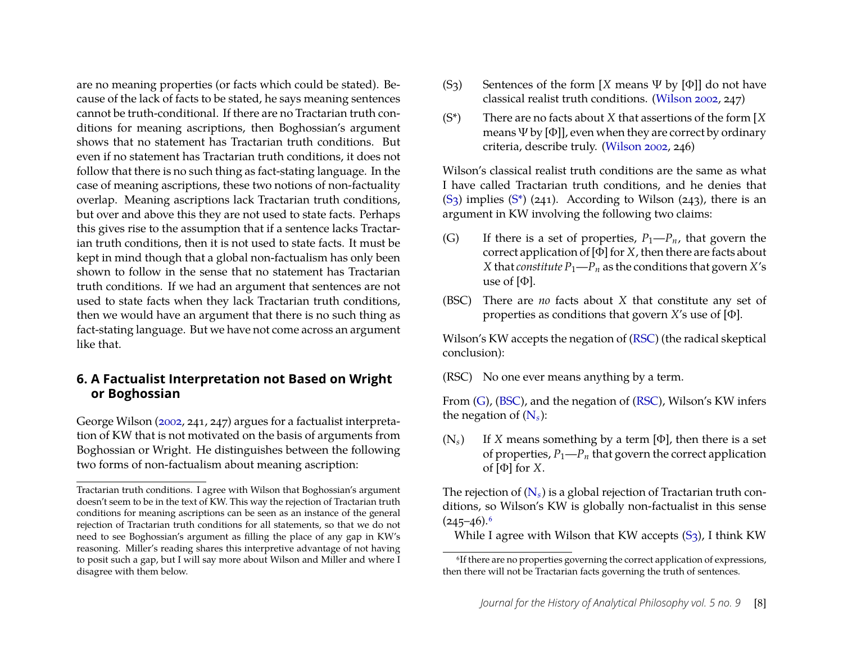are no meaning properties (or facts which could be stated). Because of the lack of facts to be stated, he says meaning sentences cannot be truth-conditional. If there are no Tractarian truth conditions for meaning ascriptions, then Boghossian's argument shows that no statement has Tractarian truth conditions. But even if no statement has Tractarian truth conditions, it does not follow that there is no such thing as fact-stating language. In the case of meaning ascriptions, these two notions of non-factuality overlap. Meaning ascriptions lack Tractarian truth conditions, but over and above this they are not used to state facts. Perhaps this gives rise to the assumption that if a sentence lacks Tractarian truth conditions, then it is not used to state facts. It must be kept in mind though that a global non-factualism has only been shown to follow in the sense that no statement has Tractarian truth conditions. If we had an argument that sentences are not used to state facts when they lack Tractarian truth conditions, then we would have an argument that there is no such thing as fact-stating language. But we have not come across an argument like that.

#### **6. A Factualist Interpretation not Based on Wright or Boghossian**

George Wilson [\(2002,](#page-13-5) 241, 247) argues for a factualist interpretation of KW that is not motivated on the basis of arguments from Boghossian or Wright. He distinguishes between the following two forms of non-factualism about meaning ascription:

- <span id="page-8-0"></span>(S3) Sentences of the form [*X* means Ψ by [Φ]] do not have classical realist truth conditions. [\(Wilson](#page-13-5) [2002,](#page-13-5) 247)
- <span id="page-8-1"></span>(S\*) There are no facts about *X* that assertions of the form [*X* means  $\Psi$  by [Φ]], even when they are correct by ordinary criteria, describe truly. [\(Wilson](#page-13-5) [2002,](#page-13-5) 246)

Wilson's classical realist truth conditions are the same as what I have called Tractarian truth conditions, and he denies that  $(S_3)$  implies  $(S^*)$  (241). According to Wilson (243), there is an argument in KW involving the following two claims:

- <span id="page-8-3"></span>(G) If there is a set of properties,  $P_1-P_n$ , that govern the correct application of [Φ] for *X*, then there are facts about *X* that *constitute*  $P_1$ — $P_n$  as the conditions that govern *X*'s use of  $[\Phi]$ .
- <span id="page-8-4"></span>(BSC) There are *no* facts about *X* that constitute any set of properties as conditions that govern *X*'s use of [Φ].

Wilson's KW accepts the negation of [\(RSC\)](#page-8-2) (the radical skeptical conclusion):

<span id="page-8-2"></span>(RSC) No one ever means anything by a term.

From [\(G\)](#page-8-3), [\(BSC\)](#page-8-4), and the negation of [\(RSC\)](#page-8-2), Wilson's KW infers the negation of  $(N_s)$  $(N_s)$ :

<span id="page-8-5"></span> $(N_s)$  If *X* means something by a term [Φ], then there is a set of properties,  $P_1-P_n$  that govern the correct application of  $[\Phi]$  for *X*.

The rejection of [\(N](#page-8-5)*s*) is a global rejection of Tractarian truth conditions, so Wilson's KW is globally non-factualist in this sense  $(245-46).$ <sup>6</sup>

While I agree with Wilson that KW accepts  $(S_3)$ , I think KW

Tractarian truth conditions. I agree with Wilson that Boghossian's argument doesn't seem to be in the text of KW. This way the rejection of Tractarian truth conditions for meaning ascriptions can be seen as an instance of the general rejection of Tractarian truth conditions for all statements, so that we do not need to see Boghossian's argument as filling the place of any gap in KW's reasoning. Miller's reading shares this interpretive advantage of not having to posit such a gap, but I will say more about Wilson and Miller and where I disagree with them below.

<span id="page-8-6"></span><sup>6</sup>If there are no properties governing the correct application of expressions, then there will not be Tractarian facts governing the truth of sentences.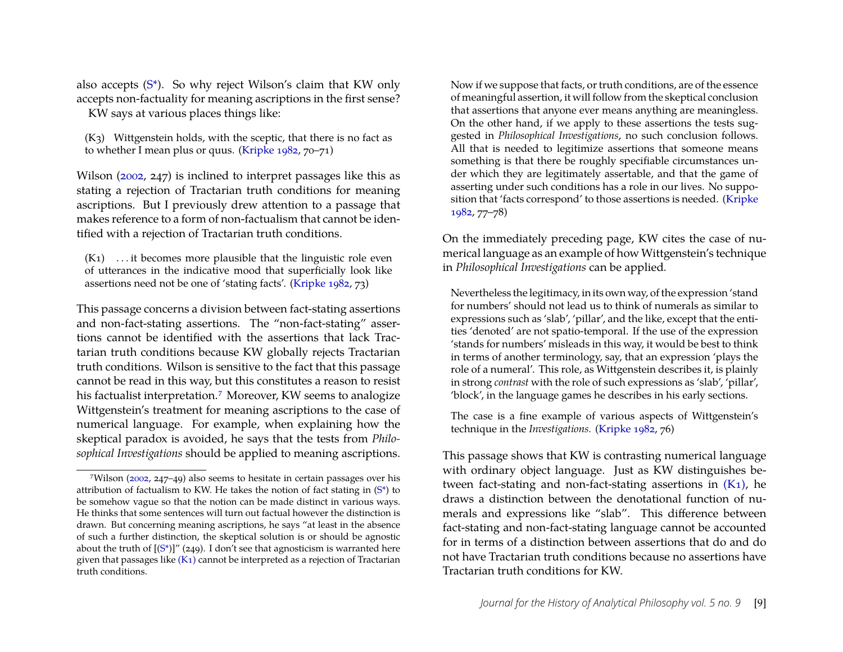also accepts  $(S^*)$ . So why reject Wilson's claim that KW only accepts non-factuality for meaning ascriptions in the first sense?

KW says at various places things like:

 $(K<sub>3</sub>)$  Wittgenstein holds, with the sceptic, that there is no fact as to whether I mean plus or quus. [\(Kripke](#page-13-0) [1982,](#page-13-0) 70–71)

Wilson [\(2002,](#page-13-5) 247) is inclined to interpret passages like this as stating a rejection of Tractarian truth conditions for meaning ascriptions. But I previously drew attention to a passage that makes reference to a form of non-factualism that cannot be identified with a rejection of Tractarian truth conditions.

<span id="page-9-1"></span> $(K_1)$  ... it becomes more plausible that the linguistic role even of utterances in the indicative mood that superficially look like assertions need not be one of 'stating facts'. [\(Kripke](#page-13-0) [1982,](#page-13-0) 73)

This passage concerns a division between fact-stating assertions and non-fact-stating assertions. The "non-fact-stating" assertions cannot be identified with the assertions that lack Tractarian truth conditions because KW globally rejects Tractarian truth conditions. Wilson is sensitive to the fact that this passage cannot be read in this way, but this constitutes a reason to resist his factualist interpretation.<sup>7</sup> Moreover, KW seems to analogize Wittgenstein's treatment for meaning ascriptions to the case of numerical language. For example, when explaining how the skeptical paradox is avoided, he says that the tests from *Philosophical Investigations* should be applied to meaning ascriptions. Now if we suppose that facts, or truth conditions, are of the essence of meaningful assertion, it will follow from the skeptical conclusion that assertions that anyone ever means anything are meaningless. On the other hand, if we apply to these assertions the tests suggested in *Philosophical Investigations*, no such conclusion follows. All that is needed to legitimize assertions that someone means something is that there be roughly specifiable circumstances under which they are legitimately assertable, and that the game of asserting under such conditions has a role in our lives. No supposition that 'facts correspond' to those assertions is needed. [\(Kripke](#page-13-0) [1982,](#page-13-0) 77–78)

On the immediately preceding page, KW cites the case of numerical language as an example of how Wittgenstein's technique in *Philosophical Investigations* can be applied*.*

Nevertheless the legitimacy, in its own way, of the expression 'stand for numbers' should not lead us to think of numerals as similar to expressions such as 'slab', 'pillar', and the like, except that the entities 'denoted' are not spatio-temporal. If the use of the expression 'stands for numbers' misleads in this way, it would be best to think in terms of another terminology, say, that an expression 'plays the role of a numeral'. This role, as Wittgenstein describes it, is plainly in strong *contrast* with the role of such expressions as 'slab', 'pillar', 'block', in the language games he describes in his early sections.

The case is a fine example of various aspects of Wittgenstein's technique in the *Investigations.* [\(Kripke](#page-13-0) [1982,](#page-13-0) 76)

This passage shows that KW is contrasting numerical language with ordinary object language. Just as KW distinguishes between fact-stating and non-fact-stating assertions in  $(K_1)$ , he draws a distinction between the denotational function of numerals and expressions like "slab". This difference between fact-stating and non-fact-stating language cannot be accounted for in terms of a distinction between assertions that do and do not have Tractarian truth conditions because no assertions have Tractarian truth conditions for KW.

<span id="page-9-0"></span><sup>7</sup>Wilson [\(2002,](#page-13-5) 247–49) also seems to hesitate in certain passages over his attribution of factualism to KW. He takes the notion of fact stating in  $(S^*)$  to be somehow vague so that the notion can be made distinct in various ways. He thinks that some sentences will turn out factual however the distinction is drawn. But concerning meaning ascriptions, he says "at least in the absence of such a further distinction, the skeptical solution is or should be agnostic about the truth of  $[(S^*)]''$  (249). I don't see that agnosticism is warranted here given that passages like  $(K_1)$  cannot be interpreted as a rejection of Tractarian truth conditions.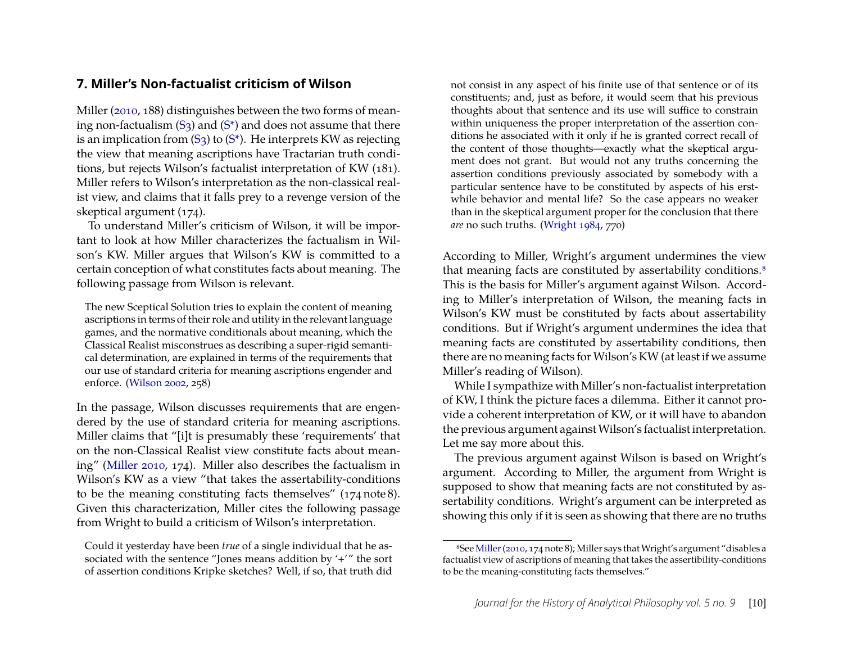#### **7. Miller's Non-factualist criticism of Wilson**

Miller [\(2010,](#page-13-6) 188) distinguishes between the two forms of meaning non-factualism  $(S_3)$  and  $(S^*)$  and does not assume that there is an implication from  $(S_3)$  to  $(S^*)$ . He interprets KW as rejecting the view that meaning ascriptions have Tractarian truth conditions, but rejects Wilson's factualist interpretation of KW (181). Miller refers to Wilson's interpretation as the non-classical realist view, and claims that it falls prey to a revenge version of the skeptical argument (174).

To understand Miller's criticism of Wilson, it will be important to look at how Miller characterizes the factualism in Wilson's KW. Miller argues that Wilson's KW is committed to a certain conception of what constitutes facts about meaning. The following passage from Wilson is relevant.

The new Sceptical Solution tries to explain the content of meaning ascriptions in terms of their role and utility in the relevant language games, and the normative conditionals about meaning, which the Classical Realist misconstrues as describing a super-rigid semantical determination, are explained in terms of the requirements that our use of standard criteria for meaning ascriptions engender and enforce. [\(Wilson](#page-13-5) [2002,](#page-13-5) 258)

In the passage, Wilson discusses requirements that are engendered by the use of standard criteria for meaning ascriptions. Miller claims that "[i]t is presumably these 'requirements' that on the non-Classical Realist view constitute facts about meaning" [\(Miller](#page-13-6) [2010,](#page-13-6) 174). Miller also describes the factualism in Wilson's KW as a view "that takes the assertability-conditions to be the meaning constituting facts themselves" (174 note 8). Given this characterization, Miller cites the following passage from Wright to build a criticism of Wilson's interpretation.

Could it yesterday have been *true* of a single individual that he associated with the sentence "Jones means addition by '+'" the sort of assertion conditions Kripke sketches? Well, if so, that truth did

not consist in any aspect of his finite use of that sentence or of its constituents; and, just as before, it would seem that his previous thoughts about that sentence and its use will suffice to constrain within uniqueness the proper interpretation of the assertion conditions he associated with it only if he is granted correct recall of the content of those thoughts—exactly what the skeptical argument does not grant. But would not any truths concerning the assertion conditions previously associated by somebody with a particular sentence have to be constituted by aspects of his erstwhile behavior and mental life? So the case appears no weaker than in the skeptical argument proper for the conclusion that there *are* no such truths. [\(Wright](#page-13-2) [1984,](#page-13-2) 770)

According to Miller, Wright's argument undermines the view that meaning facts are constituted by assertability conditions.<sup>8</sup> This is the basis for Miller's argument against Wilson. According to Miller's interpretation of Wilson, the meaning facts in Wilson's KW must be constituted by facts about assertability conditions. But if Wright's argument undermines the idea that meaning facts are constituted by assertability conditions, then there are no meaning facts for Wilson's KW (at least if we assume Miller's reading of Wilson).

While I sympathize with Miller's non-factualist interpretation of KW, I think the picture faces a dilemma. Either it cannot provide a coherent interpretation of KW, or it will have to abandon the previous argument against Wilson's factualist interpretation. Let me say more about this.

The previous argument against Wilson is based on Wright's argument. According to Miller, the argument from Wright is supposed to show that meaning facts are not constituted by assertability conditions. Wright's argument can be interpreted as showing this only if it is seen as showing that there are no truths

<span id="page-10-0"></span><sup>8</sup>See[Miller\(2010,](#page-13-6) 174 note 8); Miller says thatWright's argument "disables a factualist view of ascriptions of meaning that takes the assertibility-conditions to be the meaning-constituting facts themselves."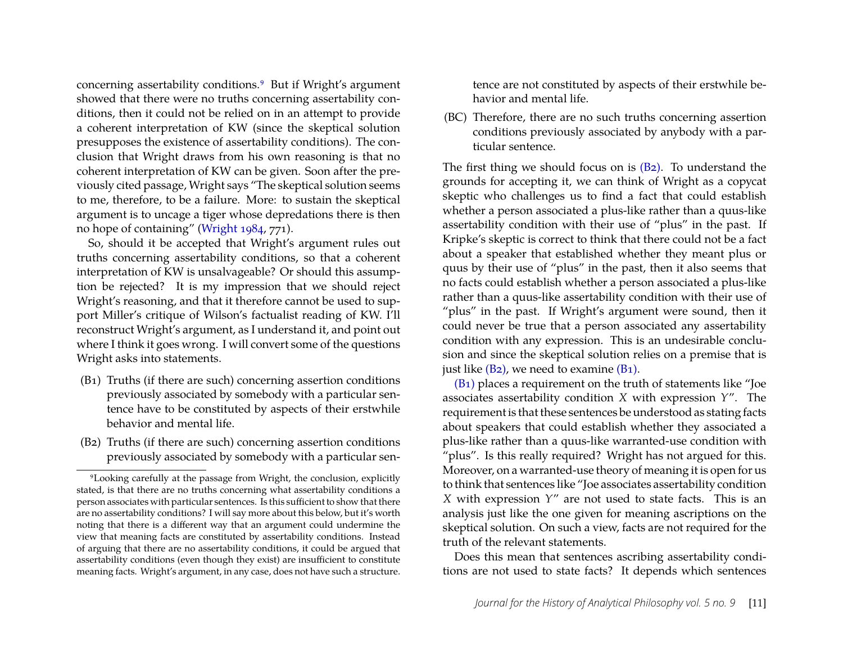concerning assertability conditions[.9](#page-11-0) But if Wright's argument showed that there were no truths concerning assertability conditions, then it could not be relied on in an attempt to provide a coherent interpretation of KW (since the skeptical solution presupposes the existence of assertability conditions). The conclusion that Wright draws from his own reasoning is that no coherent interpretation of KW can be given. Soon after the previously cited passage, Wright says "The skeptical solution seems to me, therefore, to be a failure. More: to sustain the skeptical argument is to uncage a tiger whose depredations there is then no hope of containing" [\(Wright](#page-13-2) [1984,](#page-13-2) 771).

So, should it be accepted that Wright's argument rules out truths concerning assertability conditions, so that a coherent interpretation of KW is unsalvageable? Or should this assumption be rejected? It is my impression that we should reject Wright's reasoning, and that it therefore cannot be used to support Miller's critique of Wilson's factualist reading of KW. I'll reconstruct Wright's argument, as I understand it, and point out where I think it goes wrong. I will convert some of the questions Wright asks into statements.

- <span id="page-11-2"></span>(B1) Truths (if there are such) concerning assertion conditions previously associated by somebody with a particular sentence have to be constituted by aspects of their erstwhile behavior and mental life.
- <span id="page-11-1"></span>(B2) Truths (if there are such) concerning assertion conditions previously associated by somebody with a particular sen-

tence are not constituted by aspects of their erstwhile behavior and mental life.

(BC) Therefore, there are no such truths concerning assertion conditions previously associated by anybody with a particular sentence.

The first thing we should focus on is [\(B2\).](#page-11-1) To understand the grounds for accepting it, we can think of Wright as a copycat skeptic who challenges us to find a fact that could establish whether a person associated a plus-like rather than a quus-like assertability condition with their use of "plus" in the past. If Kripke's skeptic is correct to think that there could not be a fact about a speaker that established whether they meant plus or quus by their use of "plus" in the past, then it also seems that no facts could establish whether a person associated a plus-like rather than a quus-like assertability condition with their use of "plus" in the past. If Wright's argument were sound, then it could never be true that a person associated any assertability condition with any expression. This is an undesirable conclusion and since the skeptical solution relies on a premise that is just like  $(B_2)$ , we need to examine  $(B_1)$ .

[\(B1\)](#page-11-2) places a requirement on the truth of statements like "Joe associates assertability condition *X* with expression *Y*". The requirement is that these sentences be understood as stating facts about speakers that could establish whether they associated a plus-like rather than a quus-like warranted-use condition with "plus". Is this really required? Wright has not argued for this. Moreover, on a warranted-use theory of meaning it is open for us to think that sentences like "Joe associates assertability condition *X* with expression *Y*" are not used to state facts. This is an analysis just like the one given for meaning ascriptions on the skeptical solution. On such a view, facts are not required for the truth of the relevant statements.

Does this mean that sentences ascribing assertability conditions are not used to state facts? It depends which sentences

<span id="page-11-0"></span><sup>9</sup>Looking carefully at the passage from Wright, the conclusion, explicitly stated, is that there are no truths concerning what assertability conditions a person associates with particular sentences. Is this sufficient to show that there are no assertability conditions? I will say more about this below, but it's worth noting that there is a different way that an argument could undermine the view that meaning facts are constituted by assertability conditions. Instead of arguing that there are no assertability conditions, it could be argued that assertability conditions (even though they exist) are insufficient to constitute meaning facts. Wright's argument, in any case, does not have such a structure.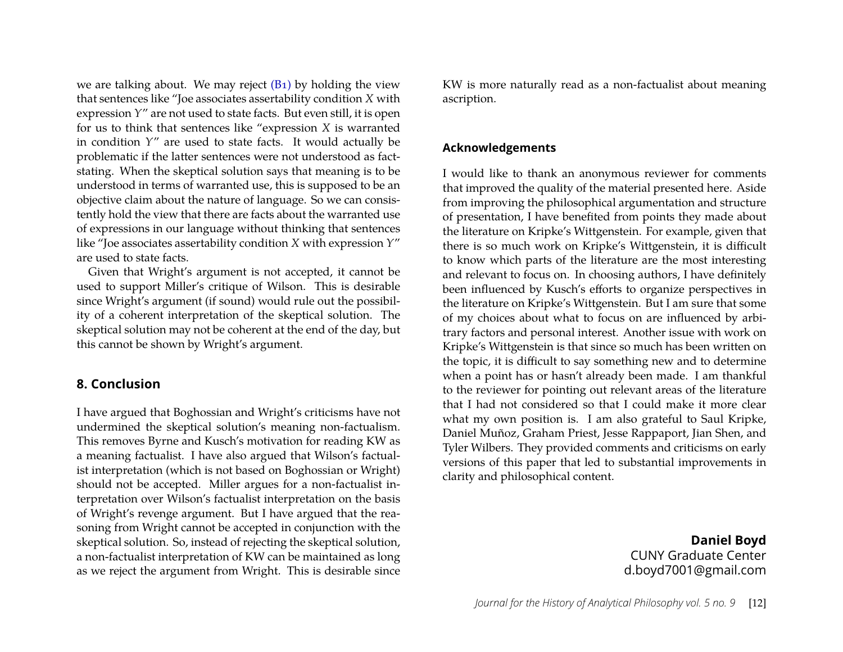we are talking about. We may reject  $(B_1)$  by holding the view that sentences like "Joe associates assertability condition *X* with expression *Y*" are not used to state facts. But even still, it is open for us to think that sentences like "expression *X* is warranted in condition *Y*" are used to state facts. It would actually be problematic if the latter sentences were not understood as factstating. When the skeptical solution says that meaning is to be understood in terms of warranted use, this is supposed to be an objective claim about the nature of language. So we can consistently hold the view that there are facts about the warranted use of expressions in our language without thinking that sentences like "Joe associates assertability condition *X* with expression *Y*" are used to state facts.

Given that Wright's argument is not accepted, it cannot be used to support Miller's critique of Wilson. This is desirable since Wright's argument (if sound) would rule out the possibility of a coherent interpretation of the skeptical solution. The skeptical solution may not be coherent at the end of the day, but this cannot be shown by Wright's argument.

#### **8. Conclusion**

I have argued that Boghossian and Wright's criticisms have not undermined the skeptical solution's meaning non-factualism. This removes Byrne and Kusch's motivation for reading KW as a meaning factualist. I have also argued that Wilson's factualist interpretation (which is not based on Boghossian or Wright) should not be accepted. Miller argues for a non-factualist interpretation over Wilson's factualist interpretation on the basis of Wright's revenge argument. But I have argued that the reasoning from Wright cannot be accepted in conjunction with the skeptical solution. So, instead of rejecting the skeptical solution, a non-factualist interpretation of KW can be maintained as long as we reject the argument from Wright. This is desirable since

KW is more naturally read as a non-factualist about meaning ascription.

#### **Acknowledgements**

I would like to thank an anonymous reviewer for comments that improved the quality of the material presented here. Aside from improving the philosophical argumentation and structure of presentation, I have benefited from points they made about the literature on Kripke's Wittgenstein. For example, given that there is so much work on Kripke's Wittgenstein, it is difficult to know which parts of the literature are the most interesting and relevant to focus on. In choosing authors, I have definitely been influenced by Kusch's efforts to organize perspectives in the literature on Kripke's Wittgenstein. But I am sure that some of my choices about what to focus on are influenced by arbitrary factors and personal interest. Another issue with work on Kripke's Wittgenstein is that since so much has been written on the topic, it is difficult to say something new and to determine when a point has or hasn't already been made. I am thankful to the reviewer for pointing out relevant areas of the literature that I had not considered so that I could make it more clear what my own position is. I am also grateful to Saul Kripke, Daniel Muñoz, Graham Priest, Jesse Rappaport, Jian Shen, and Tyler Wilbers. They provided comments and criticisms on early versions of this paper that led to substantial improvements in clarity and philosophical content.

> **Daniel Boyd** CUNY Graduate Center d.boyd7001@gmail.com